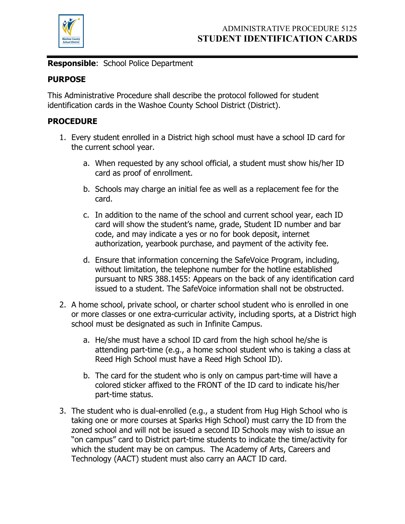

**Responsible**: School Police Department

## **PURPOSE**

This Administrative Procedure shall describe the protocol followed for student identification cards in the Washoe County School District (District).

## **PROCEDURE**

- 1. Every student enrolled in a District high school must have a school ID card for the current school year.
	- a. When requested by any school official, a student must show his/her ID card as proof of enrollment.
	- b. Schools may charge an initial fee as well as a replacement fee for the card.
	- c. In addition to the name of the school and current school year, each ID card will show the student's name, grade, Student ID number and bar code, and may indicate a yes or no for book deposit, internet authorization, yearbook purchase, and payment of the activity fee.
	- d. Ensure that information concerning the SafeVoice Program, including, without limitation, the telephone number for the hotline established pursuant to NRS 388.1455: Appears on the back of any identification card issued to a student. The SafeVoice information shall not be obstructed.
- 2. A home school, private school, or charter school student who is enrolled in one or more classes or one extra-curricular activity, including sports, at a District high school must be designated as such in Infinite Campus.
	- a. He/she must have a school ID card from the high school he/she is attending part-time (e.g., a home school student who is taking a class at Reed High School must have a Reed High School ID).
	- b. The card for the student who is only on campus part-time will have a colored sticker affixed to the FRONT of the ID card to indicate his/her part-time status.
- 3. The student who is dual-enrolled (e.g., a student from Hug High School who is taking one or more courses at Sparks High School) must carry the ID from the zoned school and will not be issued a second ID Schools may wish to issue an "on campus" card to District part-time students to indicate the time/activity for which the student may be on campus. The Academy of Arts, Careers and Technology (AACT) student must also carry an AACT ID card.